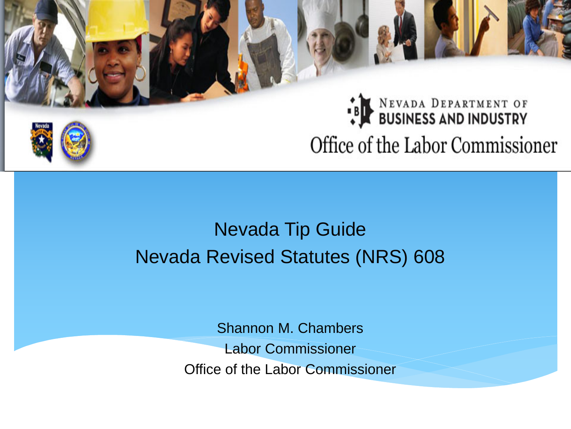# BUSINESS AND INDUSTRY Office of the Labor Commissioner

## Nevada Tip Guide Nevada Revised Statutes (NRS) 608

Shannon M. Chambers Labor Commissioner Office of the Labor Commissioner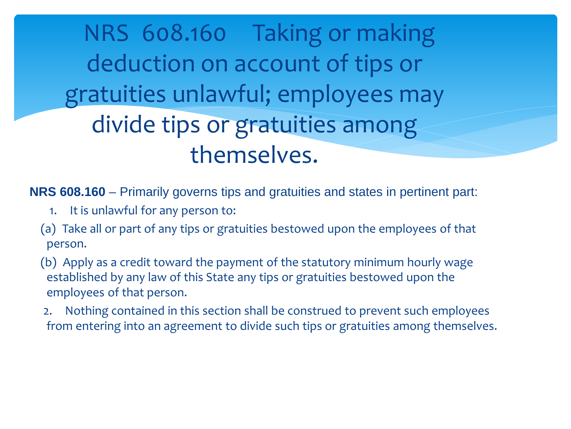NRS 608.160 Taking or making deduction on account of tips or gratuities unlawful; employees may divide tips or gratuities among themselves.

**NRS 608.160** – Primarily governs tips and gratuities and states in pertinent part:

- 1. It is unlawful for any person to:
- (a) Take all or part of any tips or gratuities bestowed upon the employees of that person.
- (b) Apply as a credit toward the payment of the statutory minimum hourly wage established by any law of this State any tips or gratuities bestowed upon the employees of that person.
- 2. Nothing contained in this section shall be construed to prevent such employees from entering into an agreement to divide such tips or gratuities among themselves.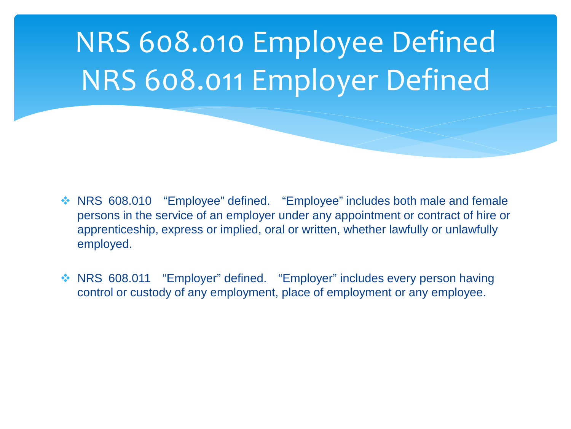

- ◆ NRS 608.010 "Employee" defined. "Employee" includes both male and female persons in the service of an employer under any appointment or contract of hire or apprenticeship, express or implied, oral or written, whether lawfully or unlawfully employed.
- ◆ NRS 608.011 "Employer" defined. "Employer" includes every person having control or custody of any employment, place of employment or any employee.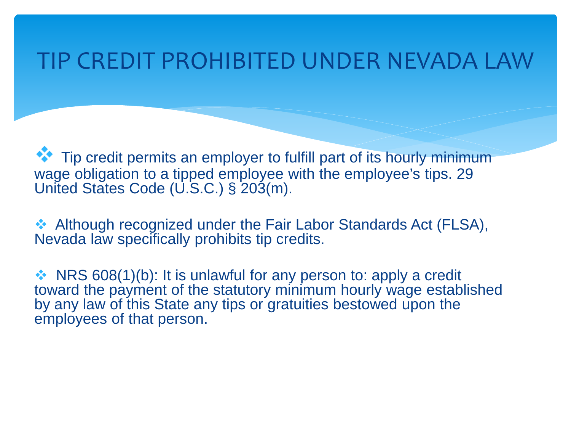## TIP CREDIT PROHIBITED UNDER NEVADA LAW

Tip credit permits an employer to fulfill part of its hourly minimum wage obligation to a tipped employee with the employee's tips. 29 United States Code (U.S.C.) § 203(m).

◆ Although recognized under the Fair Labor Standards Act (FLSA), Nevada law specifically prohibits tip credits.

 $\cdot$  NRS 608(1)(b): It is unlawful for any person to: apply a credit toward the payment of the statutory minimum hourly wage established by any law of this State any tips or gratuities bestowed upon the employees of that person.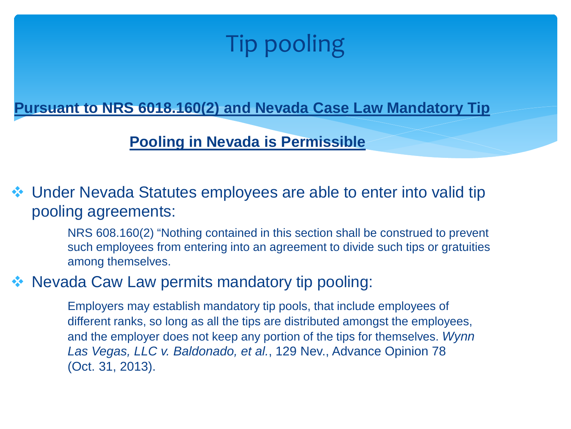## Tip pooling

**Pursuant to NRS 6018.160(2) and Nevada Case Law Mandatory Tip** 

#### **Pooling in Nevada is Permissible**

 Under Nevada Statutes employees are able to enter into valid tip pooling agreements:

> NRS 608.160(2) "Nothing contained in this section shall be construed to prevent such employees from entering into an agreement to divide such tips or gratuities among themselves.

### Nevada Caw Law permits mandatory tip pooling:

Employers may establish mandatory tip pools, that include employees of different ranks, so long as all the tips are distributed amongst the employees, and the employer does not keep any portion of the tips for themselves. *Wynn Las Vegas, LLC v. Baldonado, et al.*, 129 Nev., Advance Opinion 78 (Oct. 31, 2013).